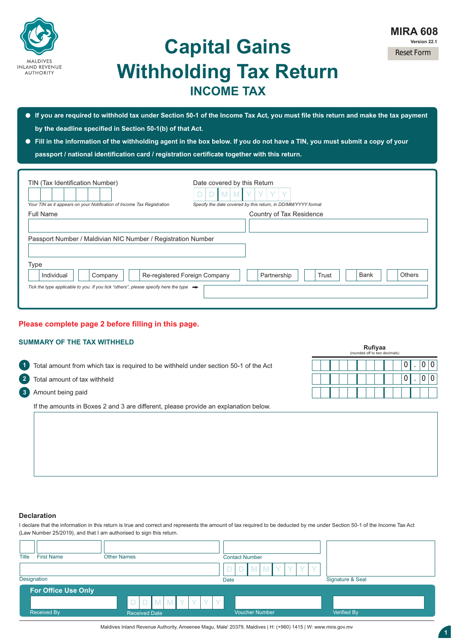

## **Capital Gains Withholding Tax Return INCOME TAX**

- **If you are required to withhold tax under Section 50-1 of the Income Tax Act, you must file this return and make the tax payment by the deadline specified in Section 50-1(b) of that Act.**
- **Fill in the information of the withholding agent in the box below. If you do not have a TIN, you must submit a copy of your**

**passport / national identification card / registration certificate together with this return.** 

| TIN (Tax Identification Number)<br>Your TIN as it appears on your Notification of Income Tax Registration | Date covered by this Return<br>Specify the date covered by this return, in DD/MM/YYYY format |
|-----------------------------------------------------------------------------------------------------------|----------------------------------------------------------------------------------------------|
| <b>Full Name</b>                                                                                          | Country of Tax Residence                                                                     |
| Passport Number / Maldivian NIC Number / Registration Number                                              |                                                                                              |
| <b>Type</b>                                                                                               |                                                                                              |
| Individual<br>Company<br>Re-registered Foreign Company                                                    | Others<br>Partnership<br>Trust<br><b>Bank</b>                                                |
| Tick the type applicable to you. If you tick "others", please specify here the type $\rightarrow$         |                                                                                              |

## **Please complete page 2 before filling in this page.**

## **SUMMARY OF THE TAX WITHHELD**

**21** Total amount from which tax is required to be withheld under section 50-1 of the Act

- **2** Total amount of tax withheld
- **3** Amount being paid

If the amounts in Boxes 2 and 3 are different, please provide an explanation below.

|  | Rufiyaa<br>(rounded off to two decimals) |  |  |  |  |
|--|------------------------------------------|--|--|--|--|
|  |                                          |  |  |  |  |
|  |                                          |  |  |  |  |
|  |                                          |  |  |  |  |

## **Declaration**

I declare that the information in this return is true and correct and represents the amount of tax required to be deducted by me under Section 50-1 of the Income Tax Act (Law Number 25/2019), and that I am authorised to sign this return.

| Title | <b>First Name</b>          | <b>Other Names</b> |                                     |  |  |    | <b>Contact Number</b> |        |      |  |                       |   |  |  |  |                  |  |  |
|-------|----------------------------|--------------------|-------------------------------------|--|--|----|-----------------------|--------|------|--|-----------------------|---|--|--|--|------------------|--|--|
|       | Designation                |                    |                                     |  |  |    |                       |        | Date |  | M                     | M |  |  |  | Signature & Seal |  |  |
|       | <b>For Office Use Only</b> |                    |                                     |  |  |    |                       |        |      |  |                       |   |  |  |  |                  |  |  |
|       | <b>Received By</b>         | $\mathsf{D}$<br>D  | $M$ $M$ $Y$<br><b>Received Date</b> |  |  | V. | $\vee$                | $\vee$ |      |  | <b>Voucher Number</b> |   |  |  |  | Verified By      |  |  |